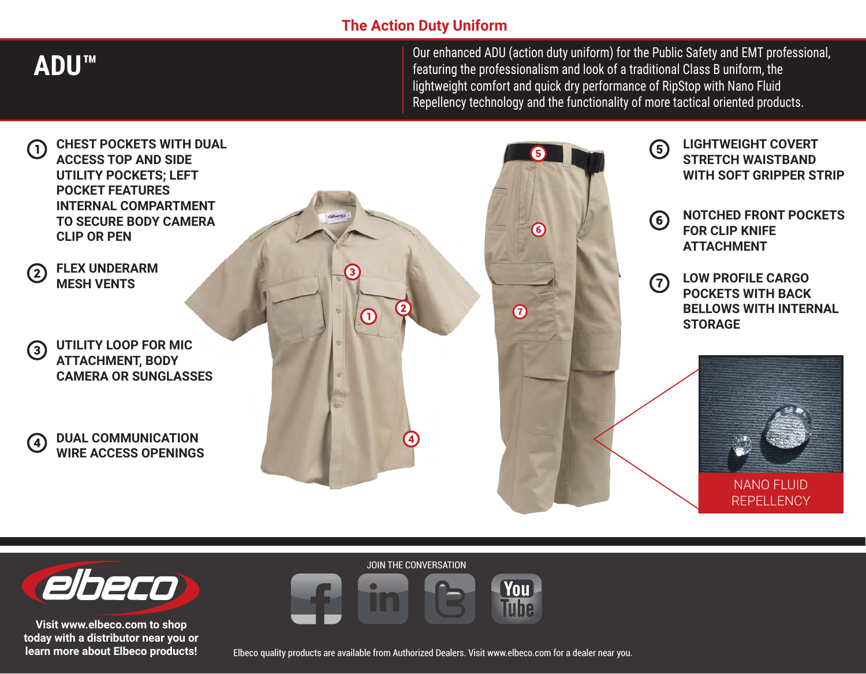### **The Action Duty Uniform**

**ADU™**

Our enhanced ADU (action duty uniform) for the Public Safety and EMT professional, featuring the professionalism and look of a traditional Class B uniform, the lightweight comfort and quick dry performance of RipStop with Nano Fluid Repellency technology and the functionality of more tactical oriented products.





**Visit www.elbeco.com to shop today with a distributor near you or learn more about Elbeco products!** JOIN THE CONVERSATION



Elbeco quality products are available from Authorized Dealers. Visit www.elbeco.com for a dealer near you.